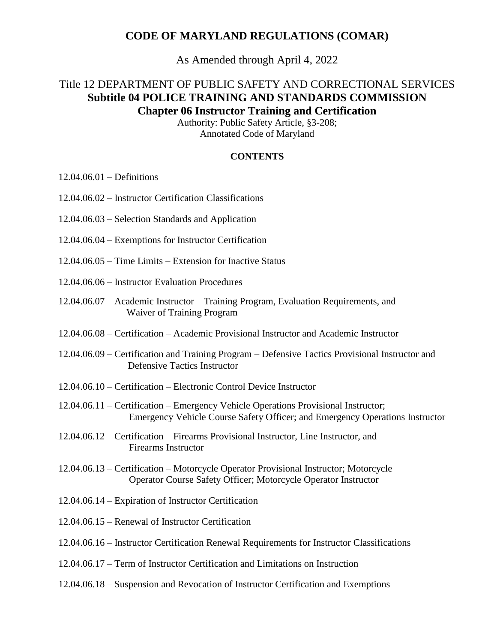## **CODE OF MARYLAND REGULATIONS (COMAR)**

As Amended through April 4, 2022

# Title 12 DEPARTMENT OF PUBLIC SAFETY AND CORRECTIONAL SERVICES **Subtitle 04 POLICE TRAINING AND STANDARDS COMMISSION Chapter 06 Instructor Training and Certification**

Authority: Public Safety Article, §3-208; Annotated Code of Maryland

#### **CONTENTS**

- 12.04.06.01 Definitions
- 12.04.06.02 Instructor Certification Classifications
- 12.04.06.03 Selection Standards and Application
- 12.04.06.04 Exemptions for Instructor Certification
- 12.04.06.05 Time Limits Extension for Inactive Status
- 12.04.06.06 Instructor Evaluation Procedures
- 12.04.06.07 Academic Instructor Training Program, Evaluation Requirements, and Waiver of Training Program
- 12.04.06.08 Certification Academic Provisional Instructor and Academic Instructor
- 12.04.06.09 Certification and Training Program Defensive Tactics Provisional Instructor and Defensive Tactics Instructor
- 12.04.06.10 Certification Electronic Control Device Instructor
- 12.04.06.11 Certification Emergency Vehicle Operations Provisional Instructor; Emergency Vehicle Course Safety Officer; and Emergency Operations Instructor
- 12.04.06.12 Certification Firearms Provisional Instructor, Line Instructor, and Firearms Instructor
- 12.04.06.13 Certification Motorcycle Operator Provisional Instructor; Motorcycle Operator Course Safety Officer; Motorcycle Operator Instructor
- 12.04.06.14 Expiration of Instructor Certification
- 12.04.06.15 Renewal of Instructor Certification
- 12.04.06.16 Instructor Certification Renewal Requirements for Instructor Classifications
- 12.04.06.17 Term of Instructor Certification and Limitations on Instruction
- 12.04.06.18 Suspension and Revocation of Instructor Certification and Exemptions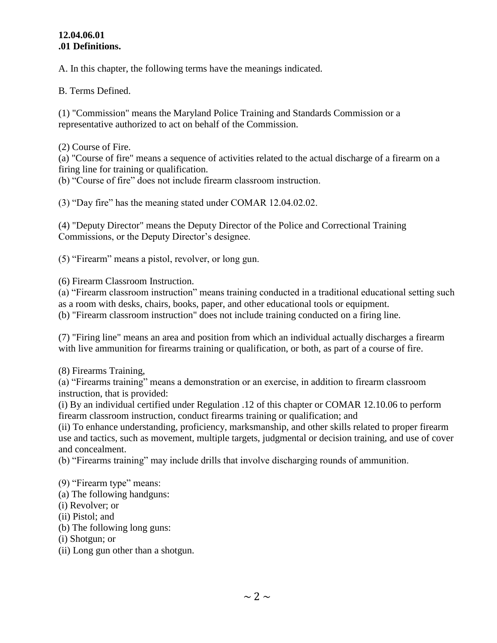#### **12.04.06.01 .01 Definitions.**

A. In this chapter, the following terms have the meanings indicated.

B. Terms Defined.

(1) "Commission" means the Maryland Police Training and Standards Commission or a representative authorized to act on behalf of the Commission.

(2) Course of Fire.

(a) "Course of fire" means a sequence of activities related to the actual discharge of a firearm on a firing line for training or qualification.

(b) "Course of fire" does not include firearm classroom instruction.

(3) "Day fire" has the meaning stated under COMAR 12.04.02.02.

(4) "Deputy Director" means the Deputy Director of the Police and Correctional Training Commissions, or the Deputy Director's designee.

(5) "Firearm" means a pistol, revolver, or long gun.

(6) Firearm Classroom Instruction.

(a) "Firearm classroom instruction" means training conducted in a traditional educational setting such as a room with desks, chairs, books, paper, and other educational tools or equipment.

(b) "Firearm classroom instruction" does not include training conducted on a firing line.

(7) "Firing line" means an area and position from which an individual actually discharges a firearm with live ammunition for firearms training or qualification, or both, as part of a course of fire.

(8) Firearms Training,

(a) "Firearms training" means a demonstration or an exercise, in addition to firearm classroom instruction, that is provided:

(i) By an individual certified under Regulation .12 of this chapter or COMAR 12.10.06 to perform firearm classroom instruction, conduct firearms training or qualification; and

(ii) To enhance understanding, proficiency, marksmanship, and other skills related to proper firearm use and tactics, such as movement, multiple targets, judgmental or decision training, and use of cover and concealment.

(b) "Firearms training" may include drills that involve discharging rounds of ammunition.

(9) "Firearm type" means:

(a) The following handguns:

- (i) Revolver; or
- (ii) Pistol; and
- (b) The following long guns:
- (i) Shotgun; or
- (ii) Long gun other than a shotgun.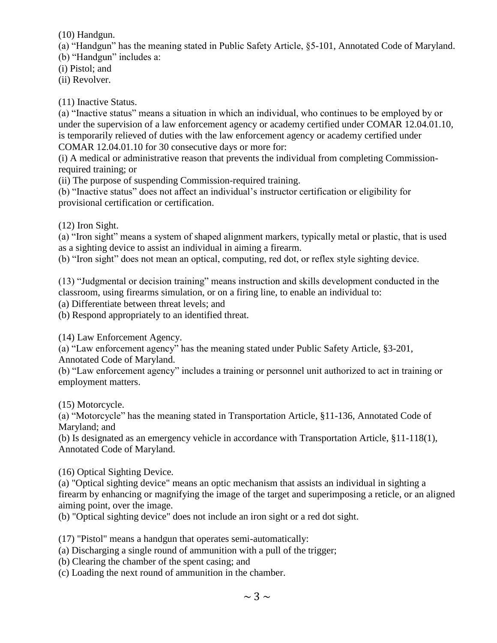(10) Handgun.

(a) "Handgun" has the meaning stated in Public Safety Article, §5-101, Annotated Code of Maryland.

(b) "Handgun" includes a:

(i) Pistol; and

(ii) Revolver.

(11) Inactive Status.

(a) "Inactive status" means a situation in which an individual, who continues to be employed by or under the supervision of a law enforcement agency or academy certified under COMAR 12.04.01.10, is temporarily relieved of duties with the law enforcement agency or academy certified under COMAR 12.04.01.10 for 30 consecutive days or more for:

(i) A medical or administrative reason that prevents the individual from completing Commissionrequired training; or

(ii) The purpose of suspending Commission-required training.

(b) "Inactive status" does not affect an individual's instructor certification or eligibility for provisional certification or certification.

(12) Iron Sight.

(a) "Iron sight" means a system of shaped alignment markers, typically metal or plastic, that is used as a sighting device to assist an individual in aiming a firearm.

(b) "Iron sight" does not mean an optical, computing, red dot, or reflex style sighting device.

(13) "Judgmental or decision training" means instruction and skills development conducted in the classroom, using firearms simulation, or on a firing line, to enable an individual to:

(a) Differentiate between threat levels; and

(b) Respond appropriately to an identified threat.

(14) Law Enforcement Agency.

(a) "Law enforcement agency" has the meaning stated under Public Safety Article, §3-201, Annotated Code of Maryland.

(b) "Law enforcement agency" includes a training or personnel unit authorized to act in training or employment matters.

(15) Motorcycle.

(a) "Motorcycle" has the meaning stated in Transportation Article, §11-136, Annotated Code of Maryland; and

(b) Is designated as an emergency vehicle in accordance with Transportation Article, §11-118(1), Annotated Code of Maryland.

(16) Optical Sighting Device.

(a) "Optical sighting device" means an optic mechanism that assists an individual in sighting a firearm by enhancing or magnifying the image of the target and superimposing a reticle, or an aligned aiming point, over the image.

(b) "Optical sighting device" does not include an iron sight or a red dot sight.

(17) "Pistol" means a handgun that operates semi-automatically:

(a) Discharging a single round of ammunition with a pull of the trigger;

(b) Clearing the chamber of the spent casing; and

(c) Loading the next round of ammunition in the chamber.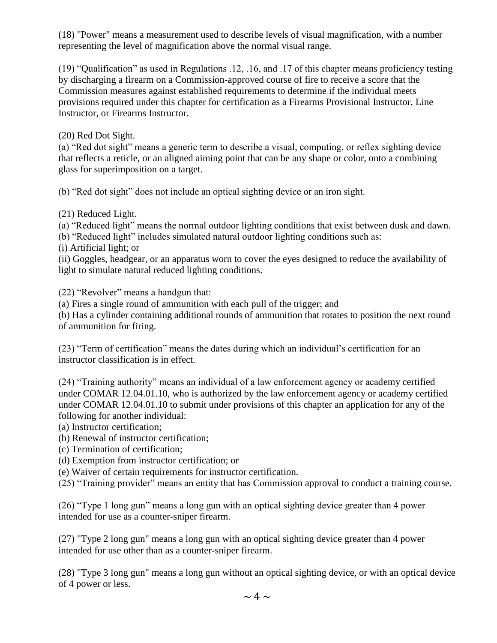(18) "Power" means a measurement used to describe levels of visual magnification, with a number representing the level of magnification above the normal visual range.

(19) "Qualification" as used in Regulations .12, .16, and .17 of this chapter means proficiency testing by discharging a firearm on a Commission-approved course of fire to receive a score that the Commission measures against established requirements to determine if the individual meets provisions required under this chapter for certification as a Firearms Provisional Instructor, Line Instructor, or Firearms Instructor.

(20) Red Dot Sight.

(a) "Red dot sight" means a generic term to describe a visual, computing, or reflex sighting device that reflects a reticle, or an aligned aiming point that can be any shape or color, onto a combining glass for superimposition on a target.

(b) "Red dot sight" does not include an optical sighting device or an iron sight.

(21) Reduced Light.

(a) "Reduced light" means the normal outdoor lighting conditions that exist between dusk and dawn.

(b) "Reduced light" includes simulated natural outdoor lighting conditions such as:

(i) Artificial light; or

(ii) Goggles, headgear, or an apparatus worn to cover the eyes designed to reduce the availability of light to simulate natural reduced lighting conditions.

(22) "Revolver" means a handgun that:

(a) Fires a single round of ammunition with each pull of the trigger; and

(b) Has a cylinder containing additional rounds of ammunition that rotates to position the next round of ammunition for firing.

(23) "Term of certification" means the dates during which an individual's certification for an instructor classification is in effect.

(24) "Training authority" means an individual of a law enforcement agency or academy certified under COMAR 12.04.01.10, who is authorized by the law enforcement agency or academy certified under COMAR 12.04.01.10 to submit under provisions of this chapter an application for any of the following for another individual:

(a) Instructor certification;

(b) Renewal of instructor certification;

(c) Termination of certification;

(d) Exemption from instructor certification; or

(e) Waiver of certain requirements for instructor certification.

(25) "Training provider" means an entity that has Commission approval to conduct a training course.

(26) "Type 1 long gun" means a long gun with an optical sighting device greater than 4 power intended for use as a counter-sniper firearm.

(27) "Type 2 long gun" means a long gun with an optical sighting device greater than 4 power intended for use other than as a counter-sniper firearm.

(28) "Type 3 long gun" means a long gun without an optical sighting device, or with an optical device of 4 power or less.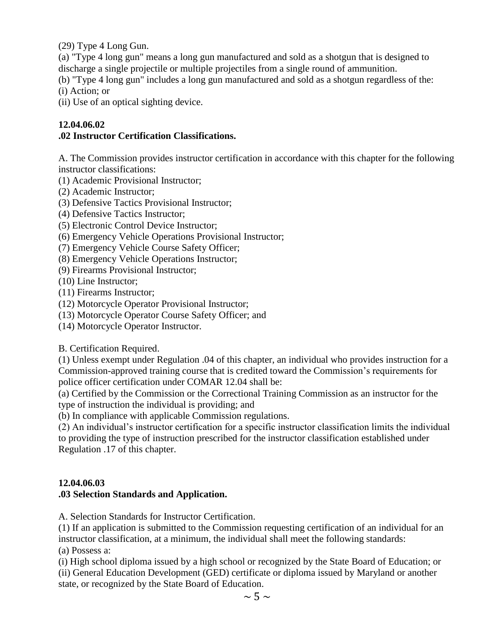(29) Type 4 Long Gun.

(a) "Type 4 long gun" means a long gun manufactured and sold as a shotgun that is designed to discharge a single projectile or multiple projectiles from a single round of ammunition.

(b) "Type 4 long gun" includes a long gun manufactured and sold as a shotgun regardless of the: (i) Action; or

(ii) Use of an optical sighting device.

## **12.04.06.02**

## **.02 Instructor Certification Classifications.**

A. The Commission provides instructor certification in accordance with this chapter for the following instructor classifications:

- (1) Academic Provisional Instructor;
- (2) Academic Instructor;
- (3) Defensive Tactics Provisional Instructor;
- (4) Defensive Tactics Instructor;
- (5) Electronic Control Device Instructor;
- (6) Emergency Vehicle Operations Provisional Instructor;
- (7) Emergency Vehicle Course Safety Officer;
- (8) Emergency Vehicle Operations Instructor;
- (9) Firearms Provisional Instructor;
- (10) Line Instructor;
- (11) Firearms Instructor;
- (12) Motorcycle Operator Provisional Instructor;
- (13) Motorcycle Operator Course Safety Officer; and
- (14) Motorcycle Operator Instructor.

B. Certification Required.

(1) Unless exempt under Regulation .04 of this chapter, an individual who provides instruction for a Commission-approved training course that is credited toward the Commission's requirements for police officer certification under COMAR 12.04 shall be:

(a) Certified by the Commission or the Correctional Training Commission as an instructor for the type of instruction the individual is providing; and

(b) In compliance with applicable Commission regulations.

(2) An individual's instructor certification for a specific instructor classification limits the individual to providing the type of instruction prescribed for the instructor classification established under Regulation .17 of this chapter.

# **12.04.06.03**

# **.03 Selection Standards and Application.**

A. Selection Standards for Instructor Certification.

(1) If an application is submitted to the Commission requesting certification of an individual for an instructor classification, at a minimum, the individual shall meet the following standards: (a) Possess a:

(i) High school diploma issued by a high school or recognized by the State Board of Education; or

(ii) General Education Development (GED) certificate or diploma issued by Maryland or another state, or recognized by the State Board of Education.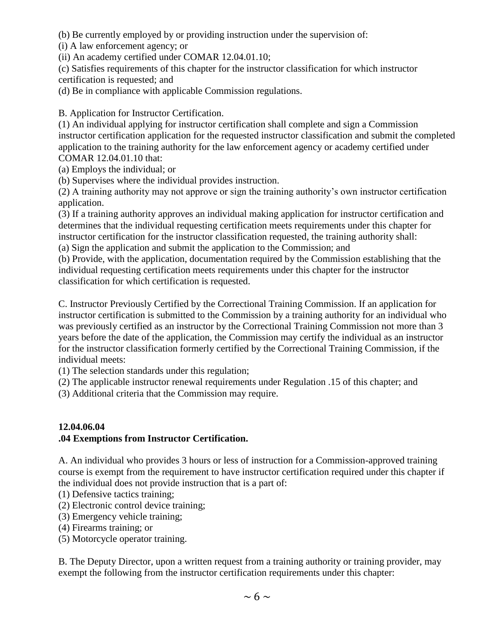(b) Be currently employed by or providing instruction under the supervision of:

(i) A law enforcement agency; or

(ii) An academy certified under COMAR 12.04.01.10;

(c) Satisfies requirements of this chapter for the instructor classification for which instructor certification is requested; and

(d) Be in compliance with applicable Commission regulations.

B. Application for Instructor Certification.

(1) An individual applying for instructor certification shall complete and sign a Commission instructor certification application for the requested instructor classification and submit the completed application to the training authority for the law enforcement agency or academy certified under COMAR 12.04.01.10 that:

(a) Employs the individual; or

(b) Supervises where the individual provides instruction.

(2) A training authority may not approve or sign the training authority's own instructor certification application.

(3) If a training authority approves an individual making application for instructor certification and determines that the individual requesting certification meets requirements under this chapter for instructor certification for the instructor classification requested, the training authority shall: (a) Sign the application and submit the application to the Commission; and

(b) Provide, with the application, documentation required by the Commission establishing that the individual requesting certification meets requirements under this chapter for the instructor classification for which certification is requested.

C. Instructor Previously Certified by the Correctional Training Commission. If an application for instructor certification is submitted to the Commission by a training authority for an individual who was previously certified as an instructor by the Correctional Training Commission not more than 3 years before the date of the application, the Commission may certify the individual as an instructor for the instructor classification formerly certified by the Correctional Training Commission, if the individual meets:

(1) The selection standards under this regulation;

(2) The applicable instructor renewal requirements under Regulation .15 of this chapter; and

(3) Additional criteria that the Commission may require.

# **12.04.06.04 .04 Exemptions from Instructor Certification.**

A. An individual who provides 3 hours or less of instruction for a Commission-approved training course is exempt from the requirement to have instructor certification required under this chapter if the individual does not provide instruction that is a part of:

- (1) Defensive tactics training;
- (2) Electronic control device training;
- (3) Emergency vehicle training;
- (4) Firearms training; or
- (5) Motorcycle operator training.

B. The Deputy Director, upon a written request from a training authority or training provider, may exempt the following from the instructor certification requirements under this chapter: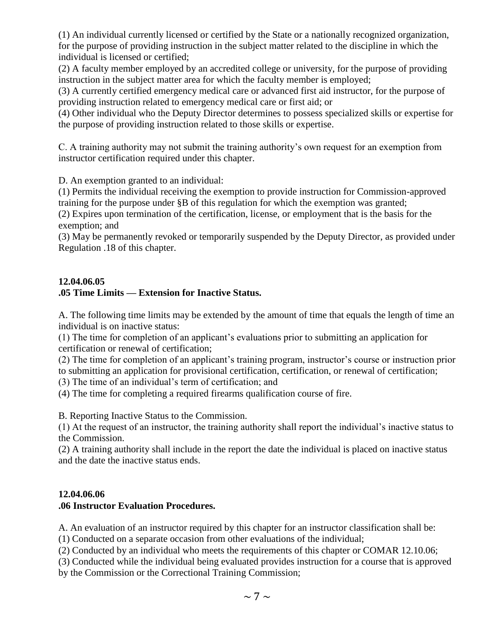(1) An individual currently licensed or certified by the State or a nationally recognized organization, for the purpose of providing instruction in the subject matter related to the discipline in which the individual is licensed or certified;

(2) A faculty member employed by an accredited college or university, for the purpose of providing instruction in the subject matter area for which the faculty member is employed;

(3) A currently certified emergency medical care or advanced first aid instructor, for the purpose of providing instruction related to emergency medical care or first aid; or

(4) Other individual who the Deputy Director determines to possess specialized skills or expertise for the purpose of providing instruction related to those skills or expertise.

C. A training authority may not submit the training authority's own request for an exemption from instructor certification required under this chapter.

D. An exemption granted to an individual:

(1) Permits the individual receiving the exemption to provide instruction for Commission-approved training for the purpose under §B of this regulation for which the exemption was granted;

(2) Expires upon termination of the certification, license, or employment that is the basis for the exemption; and

(3) May be permanently revoked or temporarily suspended by the Deputy Director, as provided under Regulation .18 of this chapter.

## **12.04.06.05 .05 Time Limits — Extension for Inactive Status.**

A. The following time limits may be extended by the amount of time that equals the length of time an individual is on inactive status:

(1) The time for completion of an applicant's evaluations prior to submitting an application for certification or renewal of certification;

(2) The time for completion of an applicant's training program, instructor's course or instruction prior to submitting an application for provisional certification, certification, or renewal of certification;

(3) The time of an individual's term of certification; and

(4) The time for completing a required firearms qualification course of fire.

B. Reporting Inactive Status to the Commission.

(1) At the request of an instructor, the training authority shall report the individual's inactive status to the Commission.

(2) A training authority shall include in the report the date the individual is placed on inactive status and the date the inactive status ends.

# **12.04.06.06**

# **.06 Instructor Evaluation Procedures.**

A. An evaluation of an instructor required by this chapter for an instructor classification shall be:

(1) Conducted on a separate occasion from other evaluations of the individual;

(2) Conducted by an individual who meets the requirements of this chapter or COMAR 12.10.06;

(3) Conducted while the individual being evaluated provides instruction for a course that is approved by the Commission or the Correctional Training Commission;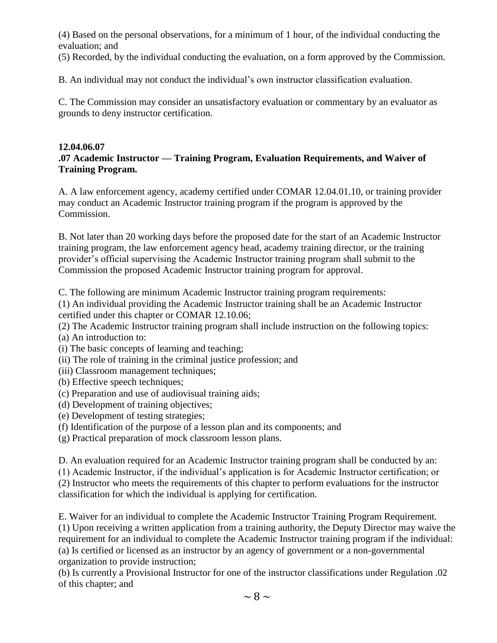(4) Based on the personal observations, for a minimum of 1 hour, of the individual conducting the evaluation; and

(5) Recorded, by the individual conducting the evaluation, on a form approved by the Commission.

B. An individual may not conduct the individual's own instructor classification evaluation.

C. The Commission may consider an unsatisfactory evaluation or commentary by an evaluator as grounds to deny instructor certification.

#### **12.04.06.07**

### **.07 Academic Instructor — Training Program, Evaluation Requirements, and Waiver of Training Program.**

A. A law enforcement agency, academy certified under COMAR 12.04.01.10, or training provider may conduct an Academic Instructor training program if the program is approved by the Commission.

B. Not later than 20 working days before the proposed date for the start of an Academic Instructor training program, the law enforcement agency head, academy training director, or the training provider's official supervising the Academic Instructor training program shall submit to the Commission the proposed Academic Instructor training program for approval.

C. The following are minimum Academic Instructor training program requirements:

(1) An individual providing the Academic Instructor training shall be an Academic Instructor certified under this chapter or COMAR 12.10.06;

(2) The Academic Instructor training program shall include instruction on the following topics:

- (a) An introduction to:
- (i) The basic concepts of learning and teaching;
- (ii) The role of training in the criminal justice profession; and
- (iii) Classroom management techniques;
- (b) Effective speech techniques;
- (c) Preparation and use of audiovisual training aids;
- (d) Development of training objectives;
- (e) Development of testing strategies;
- (f) Identification of the purpose of a lesson plan and its components; and
- (g) Practical preparation of mock classroom lesson plans.

D. An evaluation required for an Academic Instructor training program shall be conducted by an:

(1) Academic Instructor, if the individual's application is for Academic Instructor certification; or

(2) Instructor who meets the requirements of this chapter to perform evaluations for the instructor classification for which the individual is applying for certification.

E. Waiver for an individual to complete the Academic Instructor Training Program Requirement.

(1) Upon receiving a written application from a training authority, the Deputy Director may waive the requirement for an individual to complete the Academic Instructor training program if the individual: (a) Is certified or licensed as an instructor by an agency of government or a non-governmental organization to provide instruction;

(b) Is currently a Provisional Instructor for one of the instructor classifications under Regulation .02 of this chapter; and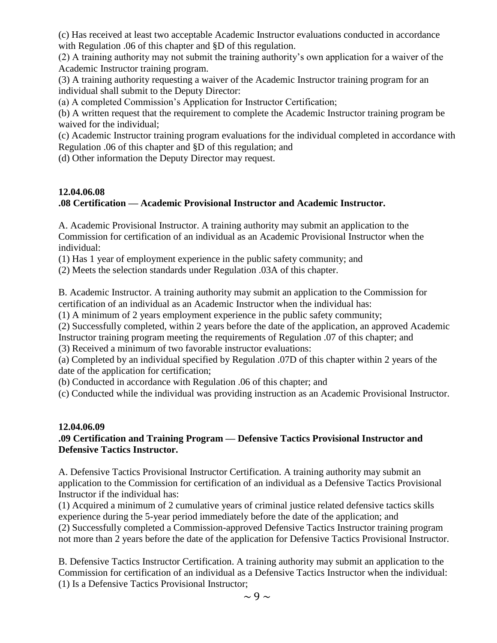(c) Has received at least two acceptable Academic Instructor evaluations conducted in accordance with Regulation .06 of this chapter and §D of this regulation.

(2) A training authority may not submit the training authority's own application for a waiver of the Academic Instructor training program.

(3) A training authority requesting a waiver of the Academic Instructor training program for an individual shall submit to the Deputy Director:

(a) A completed Commission's Application for Instructor Certification;

(b) A written request that the requirement to complete the Academic Instructor training program be waived for the individual;

(c) Academic Instructor training program evaluations for the individual completed in accordance with Regulation .06 of this chapter and §D of this regulation; and

(d) Other information the Deputy Director may request.

## **12.04.06.08**

# **.08 Certification — Academic Provisional Instructor and Academic Instructor.**

A. Academic Provisional Instructor. A training authority may submit an application to the Commission for certification of an individual as an Academic Provisional Instructor when the individual:

(1) Has 1 year of employment experience in the public safety community; and

(2) Meets the selection standards under Regulation .03A of this chapter.

B. Academic Instructor. A training authority may submit an application to the Commission for certification of an individual as an Academic Instructor when the individual has:

(1) A minimum of 2 years employment experience in the public safety community;

(2) Successfully completed, within 2 years before the date of the application, an approved Academic Instructor training program meeting the requirements of Regulation .07 of this chapter; and

(3) Received a minimum of two favorable instructor evaluations:

(a) Completed by an individual specified by Regulation .07D of this chapter within 2 years of the date of the application for certification;

(b) Conducted in accordance with Regulation .06 of this chapter; and

(c) Conducted while the individual was providing instruction as an Academic Provisional Instructor.

#### **12.04.06.09 .09 Certification and Training Program — Defensive Tactics Provisional Instructor and Defensive Tactics Instructor.**

A. Defensive Tactics Provisional Instructor Certification. A training authority may submit an application to the Commission for certification of an individual as a Defensive Tactics Provisional Instructor if the individual has:

(1) Acquired a minimum of 2 cumulative years of criminal justice related defensive tactics skills experience during the 5-year period immediately before the date of the application; and (2) Successfully completed a Commission-approved Defensive Tactics Instructor training program not more than 2 years before the date of the application for Defensive Tactics Provisional Instructor.

B. Defensive Tactics Instructor Certification. A training authority may submit an application to the Commission for certification of an individual as a Defensive Tactics Instructor when the individual: (1) Is a Defensive Tactics Provisional Instructor;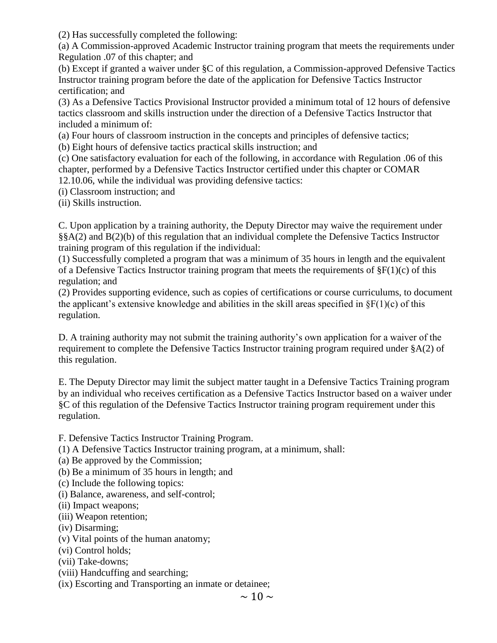(2) Has successfully completed the following:

(a) A Commission-approved Academic Instructor training program that meets the requirements under Regulation .07 of this chapter; and

(b) Except if granted a waiver under §C of this regulation, a Commission-approved Defensive Tactics Instructor training program before the date of the application for Defensive Tactics Instructor certification; and

(3) As a Defensive Tactics Provisional Instructor provided a minimum total of 12 hours of defensive tactics classroom and skills instruction under the direction of a Defensive Tactics Instructor that included a minimum of:

(a) Four hours of classroom instruction in the concepts and principles of defensive tactics;

(b) Eight hours of defensive tactics practical skills instruction; and

(c) One satisfactory evaluation for each of the following, in accordance with Regulation .06 of this chapter, performed by a Defensive Tactics Instructor certified under this chapter or COMAR 12.10.06, while the individual was providing defensive tactics:

(i) Classroom instruction; and

(ii) Skills instruction.

C. Upon application by a training authority, the Deputy Director may waive the requirement under §§A(2) and B(2)(b) of this regulation that an individual complete the Defensive Tactics Instructor training program of this regulation if the individual:

(1) Successfully completed a program that was a minimum of 35 hours in length and the equivalent of a Defensive Tactics Instructor training program that meets the requirements of  $\S F(1)(c)$  of this regulation; and

(2) Provides supporting evidence, such as copies of certifications or course curriculums, to document the applicant's extensive knowledge and abilities in the skill areas specified in  $\S F(1)(c)$  of this regulation.

D. A training authority may not submit the training authority's own application for a waiver of the requirement to complete the Defensive Tactics Instructor training program required under §A(2) of this regulation.

E. The Deputy Director may limit the subject matter taught in a Defensive Tactics Training program by an individual who receives certification as a Defensive Tactics Instructor based on a waiver under §C of this regulation of the Defensive Tactics Instructor training program requirement under this regulation.

F. Defensive Tactics Instructor Training Program.

(1) A Defensive Tactics Instructor training program, at a minimum, shall:

(a) Be approved by the Commission;

(b) Be a minimum of 35 hours in length; and

(c) Include the following topics:

(i) Balance, awareness, and self-control;

- (ii) Impact weapons;
- (iii) Weapon retention;
- (iv) Disarming;
- (v) Vital points of the human anatomy;
- (vi) Control holds;
- (vii) Take-downs;
- (viii) Handcuffing and searching;

(ix) Escorting and Transporting an inmate or detainee;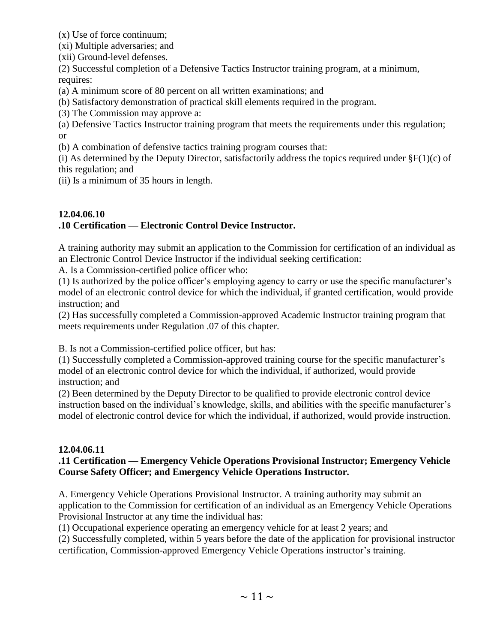(x) Use of force continuum;

(xi) Multiple adversaries; and

(xii) Ground-level defenses.

(2) Successful completion of a Defensive Tactics Instructor training program, at a minimum, requires:

(a) A minimum score of 80 percent on all written examinations; and

(b) Satisfactory demonstration of practical skill elements required in the program.

(3) The Commission may approve a:

(a) Defensive Tactics Instructor training program that meets the requirements under this regulation; or

(b) A combination of defensive tactics training program courses that:

(i) As determined by the Deputy Director, satisfactorily address the topics required under  $\S F(1)(c)$  of this regulation; and

(ii) Is a minimum of 35 hours in length.

# **12.04.06.10 .10 Certification — Electronic Control Device Instructor.**

A training authority may submit an application to the Commission for certification of an individual as an Electronic Control Device Instructor if the individual seeking certification:

A. Is a Commission-certified police officer who:

(1) Is authorized by the police officer's employing agency to carry or use the specific manufacturer's model of an electronic control device for which the individual, if granted certification, would provide instruction; and

(2) Has successfully completed a Commission-approved Academic Instructor training program that meets requirements under Regulation .07 of this chapter.

B. Is not a Commission-certified police officer, but has:

(1) Successfully completed a Commission-approved training course for the specific manufacturer's model of an electronic control device for which the individual, if authorized, would provide instruction; and

(2) Been determined by the Deputy Director to be qualified to provide electronic control device instruction based on the individual's knowledge, skills, and abilities with the specific manufacturer's model of electronic control device for which the individual, if authorized, would provide instruction.

# **12.04.06.11**

# **.11 Certification — Emergency Vehicle Operations Provisional Instructor; Emergency Vehicle Course Safety Officer; and Emergency Vehicle Operations Instructor.**

A. Emergency Vehicle Operations Provisional Instructor. A training authority may submit an application to the Commission for certification of an individual as an Emergency Vehicle Operations Provisional Instructor at any time the individual has:

(1) Occupational experience operating an emergency vehicle for at least 2 years; and

(2) Successfully completed, within 5 years before the date of the application for provisional instructor certification, Commission-approved Emergency Vehicle Operations instructor's training.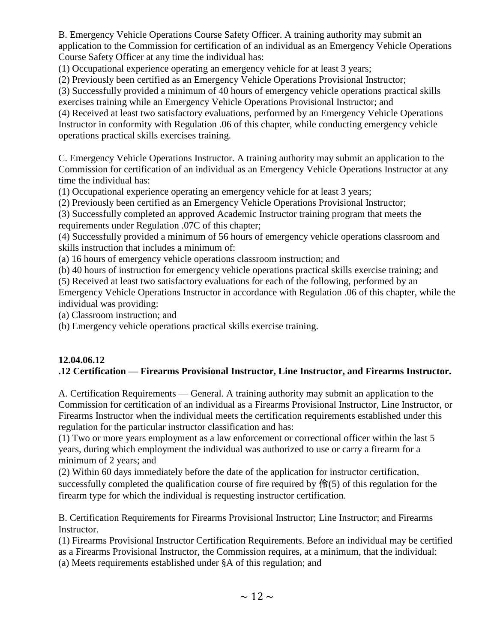B. Emergency Vehicle Operations Course Safety Officer. A training authority may submit an application to the Commission for certification of an individual as an Emergency Vehicle Operations Course Safety Officer at any time the individual has:

(1) Occupational experience operating an emergency vehicle for at least 3 years;

(2) Previously been certified as an Emergency Vehicle Operations Provisional Instructor;

(3) Successfully provided a minimum of 40 hours of emergency vehicle operations practical skills exercises training while an Emergency Vehicle Operations Provisional Instructor; and

(4) Received at least two satisfactory evaluations, performed by an Emergency Vehicle Operations Instructor in conformity with Regulation .06 of this chapter, while conducting emergency vehicle operations practical skills exercises training.

C. Emergency Vehicle Operations Instructor. A training authority may submit an application to the Commission for certification of an individual as an Emergency Vehicle Operations Instructor at any time the individual has:

(1) Occupational experience operating an emergency vehicle for at least 3 years;

(2) Previously been certified as an Emergency Vehicle Operations Provisional Instructor;

(3) Successfully completed an approved Academic Instructor training program that meets the requirements under Regulation .07C of this chapter;

(4) Successfully provided a minimum of 56 hours of emergency vehicle operations classroom and skills instruction that includes a minimum of:

(a) 16 hours of emergency vehicle operations classroom instruction; and

(b) 40 hours of instruction for emergency vehicle operations practical skills exercise training; and

(5) Received at least two satisfactory evaluations for each of the following, performed by an

Emergency Vehicle Operations Instructor in accordance with Regulation .06 of this chapter, while the individual was providing:

(a) Classroom instruction; and

(b) Emergency vehicle operations practical skills exercise training.

# **12.04.06.12**

# **.12 Certification — Firearms Provisional Instructor, Line Instructor, and Firearms Instructor.**

A. Certification Requirements — General. A training authority may submit an application to the Commission for certification of an individual as a Firearms Provisional Instructor, Line Instructor, or Firearms Instructor when the individual meets the certification requirements established under this regulation for the particular instructor classification and has:

(1) Two or more years employment as a law enforcement or correctional officer within the last 5 years, during which employment the individual was authorized to use or carry a firearm for a minimum of 2 years; and

(2) Within 60 days immediately before the date of the application for instructor certification, successfully completed the qualification course of fire required by  $\bigoplus_{i=1}^{\infty} S(i)$  of this regulation for the firearm type for which the individual is requesting instructor certification.

B. Certification Requirements for Firearms Provisional Instructor; Line Instructor; and Firearms Instructor.

(1) Firearms Provisional Instructor Certification Requirements. Before an individual may be certified as a Firearms Provisional Instructor, the Commission requires, at a minimum, that the individual:

(a) Meets requirements established under §A of this regulation; and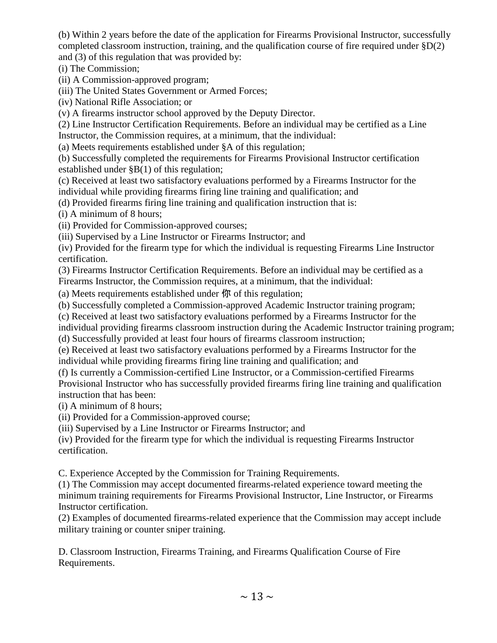(b) Within 2 years before the date of the application for Firearms Provisional Instructor, successfully completed classroom instruction, training, and the qualification course of fire required under §D(2) and (3) of this regulation that was provided by:

(i) The Commission;

(ii) A Commission-approved program;

(iii) The United States Government or Armed Forces;

(iv) National Rifle Association; or

(v) A firearms instructor school approved by the Deputy Director.

(2) Line Instructor Certification Requirements. Before an individual may be certified as a Line Instructor, the Commission requires, at a minimum, that the individual:

(a) Meets requirements established under §A of this regulation;

(b) Successfully completed the requirements for Firearms Provisional Instructor certification established under §B(1) of this regulation;

(c) Received at least two satisfactory evaluations performed by a Firearms Instructor for the individual while providing firearms firing line training and qualification; and

(d) Provided firearms firing line training and qualification instruction that is:

(i) A minimum of 8 hours;

(ii) Provided for Commission-approved courses;

(iii) Supervised by a Line Instructor or Firearms Instructor; and

(iv) Provided for the firearm type for which the individual is requesting Firearms Line Instructor certification.

(3) Firearms Instructor Certification Requirements. Before an individual may be certified as a Firearms Instructor, the Commission requires, at a minimum, that the individual:

(a) Meets requirements established under 你 of this regulation;

(b) Successfully completed a Commission-approved Academic Instructor training program;

(c) Received at least two satisfactory evaluations performed by a Firearms Instructor for the

individual providing firearms classroom instruction during the Academic Instructor training program;

(d) Successfully provided at least four hours of firearms classroom instruction;

(e) Received at least two satisfactory evaluations performed by a Firearms Instructor for the individual while providing firearms firing line training and qualification; and

(f) Is currently a Commission-certified Line Instructor, or a Commission-certified Firearms Provisional Instructor who has successfully provided firearms firing line training and qualification instruction that has been:

(i) A minimum of 8 hours;

(ii) Provided for a Commission-approved course;

(iii) Supervised by a Line Instructor or Firearms Instructor; and

(iv) Provided for the firearm type for which the individual is requesting Firearms Instructor certification.

C. Experience Accepted by the Commission for Training Requirements.

(1) The Commission may accept documented firearms-related experience toward meeting the minimum training requirements for Firearms Provisional Instructor, Line Instructor, or Firearms Instructor certification.

(2) Examples of documented firearms-related experience that the Commission may accept include military training or counter sniper training.

D. Classroom Instruction, Firearms Training, and Firearms Qualification Course of Fire Requirements.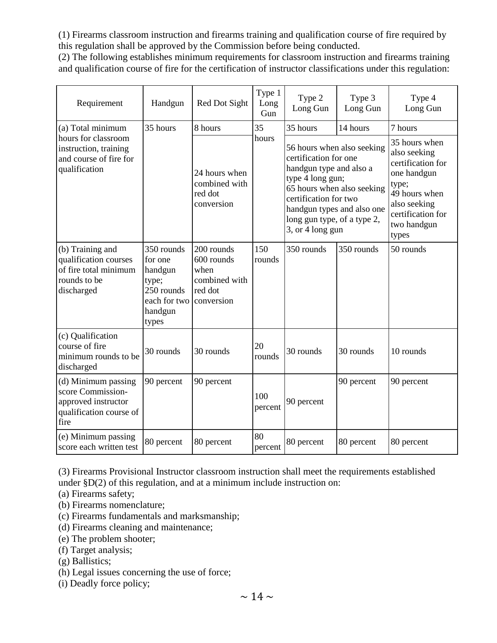(1) Firearms classroom instruction and firearms training and qualification course of fire required by this regulation shall be approved by the Commission before being conducted.

(2) The following establishes minimum requirements for classroom instruction and firearms training and qualification course of fire for the certification of instructor classifications under this regulation:

| Requirement                                                                                        | Handgun                                                                                     | Red Dot Sight                                                              | Type 1<br>Long<br>Gun | Type 2<br>Long Gun                                                                                                                                                                                                                         | Type 3<br>Long Gun | Type 4<br>Long Gun                                                                                                                                       |
|----------------------------------------------------------------------------------------------------|---------------------------------------------------------------------------------------------|----------------------------------------------------------------------------|-----------------------|--------------------------------------------------------------------------------------------------------------------------------------------------------------------------------------------------------------------------------------------|--------------------|----------------------------------------------------------------------------------------------------------------------------------------------------------|
| (a) Total minimum                                                                                  | 35 hours                                                                                    | 8 hours                                                                    | 35                    | 35 hours                                                                                                                                                                                                                                   | 14 hours           | 7 hours                                                                                                                                                  |
| hours for classroom<br>instruction, training<br>and course of fire for<br>qualification            |                                                                                             | 24 hours when<br>combined with<br>red dot<br>conversion                    | hours                 | 56 hours when also seeking<br>certification for one<br>handgun type and also a<br>type 4 long gun;<br>65 hours when also seeking<br>certification for two<br>handgun types and also one<br>long gun type, of a type 2,<br>3, or 4 long gun |                    | 35 hours when<br>also seeking<br>certification for<br>one handgun<br>type;<br>49 hours when<br>also seeking<br>certification for<br>two handgun<br>types |
| (b) Training and<br>qualification courses<br>of fire total minimum<br>rounds to be<br>discharged   | 350 rounds<br>for one<br>handgun<br>type;<br>250 rounds<br>each for two<br>handgun<br>types | 200 rounds<br>600 rounds<br>when<br>combined with<br>red dot<br>conversion | 150<br>rounds         | 350 rounds                                                                                                                                                                                                                                 | 350 rounds         | 50 rounds                                                                                                                                                |
| (c) Qualification<br>course of fire<br>minimum rounds to be<br>discharged                          | 30 rounds                                                                                   | 30 rounds                                                                  | 20<br>rounds          | 30 rounds                                                                                                                                                                                                                                  | 30 rounds          | 10 rounds                                                                                                                                                |
| (d) Minimum passing<br>score Commission-<br>approved instructor<br>qualification course of<br>fire | 90 percent                                                                                  | 90 percent                                                                 | 100<br>percent        | 90 percent                                                                                                                                                                                                                                 | 90 percent         | 90 percent                                                                                                                                               |
| (e) Minimum passing<br>score each written test                                                     | 80 percent                                                                                  | 80 percent                                                                 | 80<br>percent         | 80 percent                                                                                                                                                                                                                                 | 80 percent         | 80 percent                                                                                                                                               |

(3) Firearms Provisional Instructor classroom instruction shall meet the requirements established under  $$D(2)$  of this regulation, and at a minimum include instruction on:

(a) Firearms safety;

- (b) Firearms nomenclature;
- (c) Firearms fundamentals and marksmanship;
- (d) Firearms cleaning and maintenance;
- (e) The problem shooter;
- (f) Target analysis;
- (g) Ballistics;
- (h) Legal issues concerning the use of force;
- (i) Deadly force policy;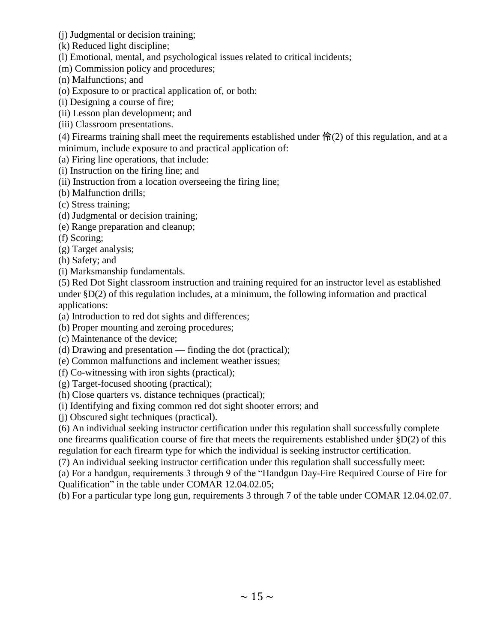- (j) Judgmental or decision training;
- (k) Reduced light discipline;
- (l) Emotional, mental, and psychological issues related to critical incidents;
- (m) Commission policy and procedures;
- (n) Malfunctions; and
- (o) Exposure to or practical application of, or both:
- (i) Designing a course of fire;
- (ii) Lesson plan development; and
- (iii) Classroom presentations.

(4) Firearms training shall meet the requirements established under  $\bigoplus_{i=1}^{\infty} (2)$  of this regulation, and at a minimum, include exposure to and practical application of:

(a) Firing line operations, that include:

- (i) Instruction on the firing line; and
- (ii) Instruction from a location overseeing the firing line;
- (b) Malfunction drills;
- (c) Stress training;
- (d) Judgmental or decision training;
- (e) Range preparation and cleanup;
- (f) Scoring;
- (g) Target analysis;
- (h) Safety; and
- (i) Marksmanship fundamentals.

(5) Red Dot Sight classroom instruction and training required for an instructor level as established under §D(2) of this regulation includes, at a minimum, the following information and practical applications:

- (a) Introduction to red dot sights and differences;
- (b) Proper mounting and zeroing procedures;
- (c) Maintenance of the device;
- (d) Drawing and presentation finding the dot (practical);
- (e) Common malfunctions and inclement weather issues;
- (f) Co-witnessing with iron sights (practical);
- (g) Target-focused shooting (practical);
- (h) Close quarters vs. distance techniques (practical);
- (i) Identifying and fixing common red dot sight shooter errors; and
- (j) Obscured sight techniques (practical).

(6) An individual seeking instructor certification under this regulation shall successfully complete one firearms qualification course of fire that meets the requirements established under  $\S D(2)$  of this regulation for each firearm type for which the individual is seeking instructor certification.

(7) An individual seeking instructor certification under this regulation shall successfully meet:

(a) For a handgun, requirements 3 through 9 of the "Handgun Day-Fire Required Course of Fire for Qualification" in the table under COMAR 12.04.02.05;

(b) For a particular type long gun, requirements 3 through 7 of the table under COMAR 12.04.02.07.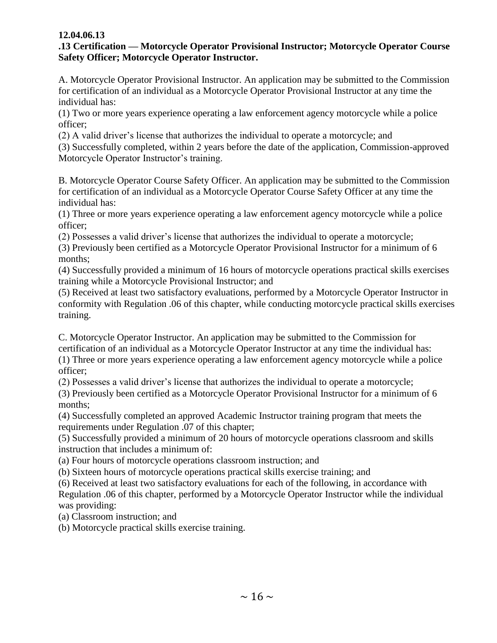### **12.04.06.13**

### **.13 Certification — Motorcycle Operator Provisional Instructor; Motorcycle Operator Course Safety Officer; Motorcycle Operator Instructor.**

A. Motorcycle Operator Provisional Instructor. An application may be submitted to the Commission for certification of an individual as a Motorcycle Operator Provisional Instructor at any time the individual has:

(1) Two or more years experience operating a law enforcement agency motorcycle while a police officer;

(2) A valid driver's license that authorizes the individual to operate a motorcycle; and

(3) Successfully completed, within 2 years before the date of the application, Commission-approved Motorcycle Operator Instructor's training.

B. Motorcycle Operator Course Safety Officer. An application may be submitted to the Commission for certification of an individual as a Motorcycle Operator Course Safety Officer at any time the individual has:

(1) Three or more years experience operating a law enforcement agency motorcycle while a police officer;

(2) Possesses a valid driver's license that authorizes the individual to operate a motorcycle;

(3) Previously been certified as a Motorcycle Operator Provisional Instructor for a minimum of 6 months;

(4) Successfully provided a minimum of 16 hours of motorcycle operations practical skills exercises training while a Motorcycle Provisional Instructor; and

(5) Received at least two satisfactory evaluations, performed by a Motorcycle Operator Instructor in conformity with Regulation .06 of this chapter, while conducting motorcycle practical skills exercises training.

C. Motorcycle Operator Instructor. An application may be submitted to the Commission for certification of an individual as a Motorcycle Operator Instructor at any time the individual has: (1) Three or more years experience operating a law enforcement agency motorcycle while a police officer;

(2) Possesses a valid driver's license that authorizes the individual to operate a motorcycle;

(3) Previously been certified as a Motorcycle Operator Provisional Instructor for a minimum of 6 months;

(4) Successfully completed an approved Academic Instructor training program that meets the requirements under Regulation .07 of this chapter;

(5) Successfully provided a minimum of 20 hours of motorcycle operations classroom and skills instruction that includes a minimum of:

(a) Four hours of motorcycle operations classroom instruction; and

(b) Sixteen hours of motorcycle operations practical skills exercise training; and

(6) Received at least two satisfactory evaluations for each of the following, in accordance with

Regulation .06 of this chapter, performed by a Motorcycle Operator Instructor while the individual was providing:

(a) Classroom instruction; and

(b) Motorcycle practical skills exercise training.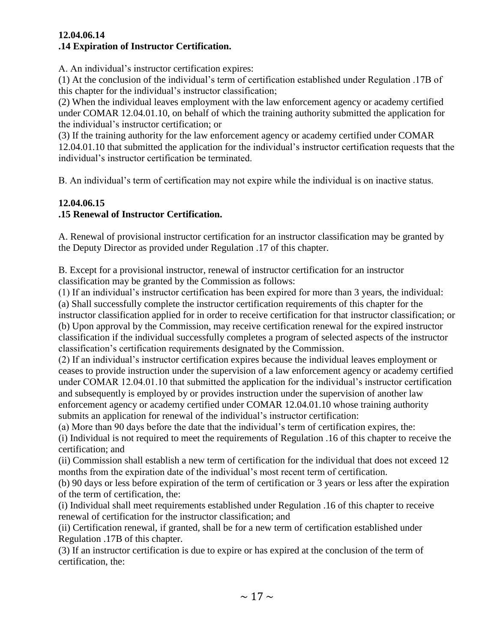#### **12.04.06.14 .14 Expiration of Instructor Certification.**

A. An individual's instructor certification expires:

(1) At the conclusion of the individual's term of certification established under Regulation .17B of this chapter for the individual's instructor classification;

(2) When the individual leaves employment with the law enforcement agency or academy certified under COMAR 12.04.01.10, on behalf of which the training authority submitted the application for the individual's instructor certification; or

(3) If the training authority for the law enforcement agency or academy certified under COMAR 12.04.01.10 that submitted the application for the individual's instructor certification requests that the individual's instructor certification be terminated.

B. An individual's term of certification may not expire while the individual is on inactive status.

# **12.04.06.15**

# **.15 Renewal of Instructor Certification.**

A. Renewal of provisional instructor certification for an instructor classification may be granted by the Deputy Director as provided under Regulation .17 of this chapter.

B. Except for a provisional instructor, renewal of instructor certification for an instructor classification may be granted by the Commission as follows:

(1) If an individual's instructor certification has been expired for more than 3 years, the individual: (a) Shall successfully complete the instructor certification requirements of this chapter for the instructor classification applied for in order to receive certification for that instructor classification; or (b) Upon approval by the Commission, may receive certification renewal for the expired instructor classification if the individual successfully completes a program of selected aspects of the instructor classification's certification requirements designated by the Commission.

(2) If an individual's instructor certification expires because the individual leaves employment or ceases to provide instruction under the supervision of a law enforcement agency or academy certified under COMAR 12.04.01.10 that submitted the application for the individual's instructor certification and subsequently is employed by or provides instruction under the supervision of another law enforcement agency or academy certified under COMAR 12.04.01.10 whose training authority submits an application for renewal of the individual's instructor certification:

(a) More than 90 days before the date that the individual's term of certification expires, the: (i) Individual is not required to meet the requirements of Regulation .16 of this chapter to receive the certification; and

(ii) Commission shall establish a new term of certification for the individual that does not exceed 12 months from the expiration date of the individual's most recent term of certification.

(b) 90 days or less before expiration of the term of certification or 3 years or less after the expiration of the term of certification, the:

(i) Individual shall meet requirements established under Regulation .16 of this chapter to receive renewal of certification for the instructor classification; and

(ii) Certification renewal, if granted, shall be for a new term of certification established under Regulation .17B of this chapter.

(3) If an instructor certification is due to expire or has expired at the conclusion of the term of certification, the: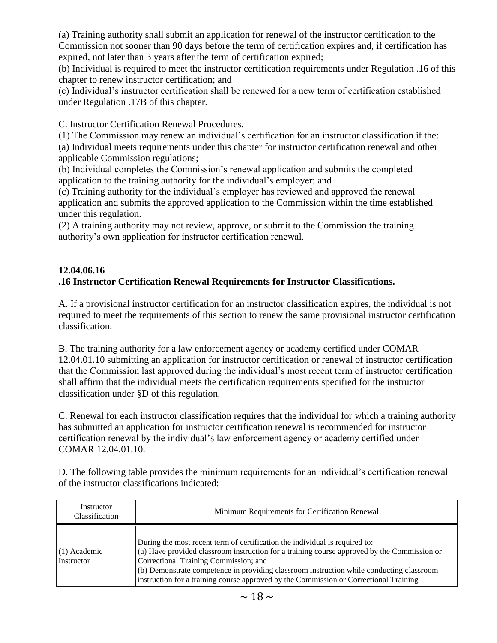(a) Training authority shall submit an application for renewal of the instructor certification to the Commission not sooner than 90 days before the term of certification expires and, if certification has expired, not later than 3 years after the term of certification expired;

(b) Individual is required to meet the instructor certification requirements under Regulation .16 of this chapter to renew instructor certification; and

(c) Individual's instructor certification shall be renewed for a new term of certification established under Regulation .17B of this chapter.

C. Instructor Certification Renewal Procedures.

(1) The Commission may renew an individual's certification for an instructor classification if the: (a) Individual meets requirements under this chapter for instructor certification renewal and other applicable Commission regulations;

(b) Individual completes the Commission's renewal application and submits the completed application to the training authority for the individual's employer; and

(c) Training authority for the individual's employer has reviewed and approved the renewal application and submits the approved application to the Commission within the time established under this regulation.

(2) A training authority may not review, approve, or submit to the Commission the training authority's own application for instructor certification renewal.

# **12.04.06.16 .16 Instructor Certification Renewal Requirements for Instructor Classifications.**

A. If a provisional instructor certification for an instructor classification expires, the individual is not required to meet the requirements of this section to renew the same provisional instructor certification classification.

B. The training authority for a law enforcement agency or academy certified under COMAR 12.04.01.10 submitting an application for instructor certification or renewal of instructor certification that the Commission last approved during the individual's most recent term of instructor certification shall affirm that the individual meets the certification requirements specified for the instructor classification under §D of this regulation.

C. Renewal for each instructor classification requires that the individual for which a training authority has submitted an application for instructor certification renewal is recommended for instructor certification renewal by the individual's law enforcement agency or academy certified under COMAR 12.04.01.10.

D. The following table provides the minimum requirements for an individual's certification renewal of the instructor classifications indicated:

| Instructor<br>Classification | Minimum Requirements for Certification Renewal                                                                                                                                                                                                                                                                                                                                                               |
|------------------------------|--------------------------------------------------------------------------------------------------------------------------------------------------------------------------------------------------------------------------------------------------------------------------------------------------------------------------------------------------------------------------------------------------------------|
| $(1)$ Academic<br>Instructor | During the most recent term of certification the individual is required to:<br>$(a)$ Have provided classroom instruction for a training course approved by the Commission or<br>Correctional Training Commission; and<br>$(6)$ Demonstrate competence in providing classroom instruction while conducting classroom<br>instruction for a training course approved by the Commission or Correctional Training |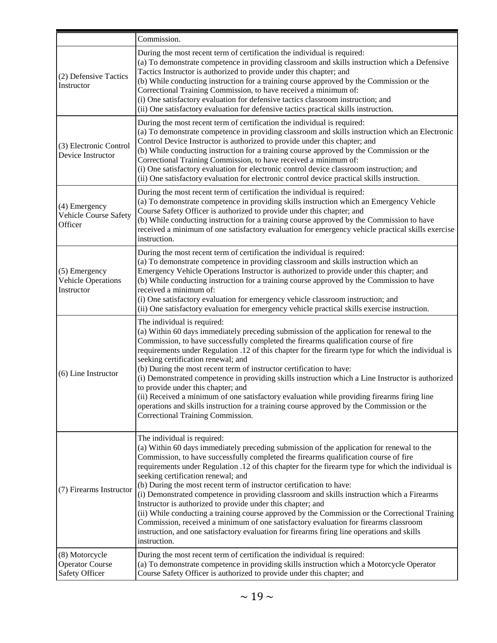|                                                            | Commission.                                                                                                                                                                                                                                                                                                                                                                                                                                                                                                                                                                                                                                                                                                                                                                                                                                                                                                 |  |  |  |
|------------------------------------------------------------|-------------------------------------------------------------------------------------------------------------------------------------------------------------------------------------------------------------------------------------------------------------------------------------------------------------------------------------------------------------------------------------------------------------------------------------------------------------------------------------------------------------------------------------------------------------------------------------------------------------------------------------------------------------------------------------------------------------------------------------------------------------------------------------------------------------------------------------------------------------------------------------------------------------|--|--|--|
| (2) Defensive Tactics<br>Instructor                        | During the most recent term of certification the individual is required:<br>(a) To demonstrate competence in providing classroom and skills instruction which a Defensive<br>Tactics Instructor is authorized to provide under this chapter; and<br>(b) While conducting instruction for a training course approved by the Commission or the<br>Correctional Training Commission, to have received a minimum of:<br>(i) One satisfactory evaluation for defensive tactics classroom instruction; and<br>(ii) One satisfactory evaluation for defensive tactics practical skills instruction.                                                                                                                                                                                                                                                                                                                |  |  |  |
| (3) Electronic Control<br>Device Instructor                | During the most recent term of certification the individual is required:<br>(a) To demonstrate competence in providing classroom and skills instruction which an Electronic<br>Control Device Instructor is authorized to provide under this chapter; and<br>(b) While conducting instruction for a training course approved by the Commission or the<br>Correctional Training Commission, to have received a minimum of:<br>(i) One satisfactory evaluation for electronic control device classroom instruction; and<br>(ii) One satisfactory evaluation for electronic control device practical skills instruction.                                                                                                                                                                                                                                                                                       |  |  |  |
| (4) Emergency<br>Vehicle Course Safety<br>Officer          | During the most recent term of certification the individual is required:<br>(a) To demonstrate competence in providing skills instruction which an Emergency Vehicle<br>Course Safety Officer is authorized to provide under this chapter; and<br>(b) While conducting instruction for a training course approved by the Commission to have<br>received a minimum of one satisfactory evaluation for emergency vehicle practical skills exercise<br>instruction.                                                                                                                                                                                                                                                                                                                                                                                                                                            |  |  |  |
| (5) Emergency<br><b>Vehicle Operations</b><br>Instructor   | During the most recent term of certification the individual is required:<br>(a) To demonstrate competence in providing classroom and skills instruction which an<br>Emergency Vehicle Operations Instructor is authorized to provide under this chapter; and<br>(b) While conducting instruction for a training course approved by the Commission to have<br>received a minimum of:<br>(i) One satisfactory evaluation for emergency vehicle classroom instruction; and<br>(ii) One satisfactory evaluation for emergency vehicle practical skills exercise instruction.                                                                                                                                                                                                                                                                                                                                    |  |  |  |
| (6) Line Instructor                                        | The individual is required:<br>(a) Within 60 days immediately preceding submission of the application for renewal to the<br>Commission, to have successfully completed the firearms qualification course of fire<br>requirements under Regulation .12 of this chapter for the firearm type for which the individual is<br>seeking certification renewal; and<br>(b) During the most recent term of instructor certification to have:<br>(i) Demonstrated competence in providing skills instruction which a Line Instructor is authorized<br>to provide under this chapter; and<br>(ii) Received a minimum of one satisfactory evaluation while providing firearms firing line<br>operations and skills instruction for a training course approved by the Commission or the<br>Correctional Training Commission.                                                                                            |  |  |  |
| (7) Firearms Instructor                                    | The individual is required:<br>(a) Within 60 days immediately preceding submission of the application for renewal to the<br>Commission, to have successfully completed the firearms qualification course of fire<br>requirements under Regulation .12 of this chapter for the firearm type for which the individual is<br>seeking certification renewal; and<br>(b) During the most recent term of instructor certification to have:<br>(i) Demonstrated competence in providing classroom and skills instruction which a Firearms<br>Instructor is authorized to provide under this chapter; and<br>(ii) While conducting a training course approved by the Commission or the Correctional Training<br>Commission, received a minimum of one satisfactory evaluation for firearms classroom<br>instruction, and one satisfactory evaluation for firearms firing line operations and skills<br>instruction. |  |  |  |
| (8) Motorcycle<br><b>Operator Course</b><br>Safety Officer | During the most recent term of certification the individual is required:<br>(a) To demonstrate competence in providing skills instruction which a Motorcycle Operator<br>Course Safety Officer is authorized to provide under this chapter; and                                                                                                                                                                                                                                                                                                                                                                                                                                                                                                                                                                                                                                                             |  |  |  |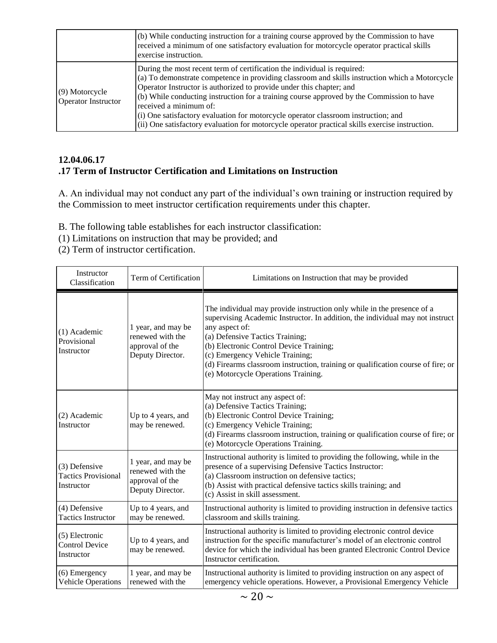|                                         | (b) While conducting instruction for a training course approved by the Commission to have<br>received a minimum of one satisfactory evaluation for motorcycle operator practical skills<br>exercise instruction.                                                                                                                                                                                                                                                                                                                                                   |
|-----------------------------------------|--------------------------------------------------------------------------------------------------------------------------------------------------------------------------------------------------------------------------------------------------------------------------------------------------------------------------------------------------------------------------------------------------------------------------------------------------------------------------------------------------------------------------------------------------------------------|
| $(9)$ Motorcycle<br>Operator Instructor | During the most recent term of certification the individual is required:<br>(a) To demonstrate competence in providing classroom and skills instruction which a Motorcycle<br>Operator Instructor is authorized to provide under this chapter; and<br>(b) While conducting instruction for a training course approved by the Commission to have<br>received a minimum of:<br>(i) One satisfactory evaluation for motorcycle operator classroom instruction; and<br>(ii) One satisfactory evaluation for motorcycle operator practical skills exercise instruction. |

## **12.04.06.17 .17 Term of Instructor Certification and Limitations on Instruction**

A. An individual may not conduct any part of the individual's own training or instruction required by the Commission to meet instructor certification requirements under this chapter.

- B. The following table establishes for each instructor classification:
- (1) Limitations on instruction that may be provided; and
- (2) Term of instructor certification.

| Instructor<br>Classification                              | Term of Certification                                                         | Limitations on Instruction that may be provided                                                                                                                                                                                                                                                                                                                                                                       |  |
|-----------------------------------------------------------|-------------------------------------------------------------------------------|-----------------------------------------------------------------------------------------------------------------------------------------------------------------------------------------------------------------------------------------------------------------------------------------------------------------------------------------------------------------------------------------------------------------------|--|
| (1) Academic<br>Provisional<br>Instructor                 | 1 year, and may be<br>renewed with the<br>approval of the<br>Deputy Director. | The individual may provide instruction only while in the presence of a<br>supervising Academic Instructor. In addition, the individual may not instruct<br>any aspect of:<br>(a) Defensive Tactics Training;<br>(b) Electronic Control Device Training;<br>(c) Emergency Vehicle Training;<br>(d) Firearms classroom instruction, training or qualification course of fire; or<br>(e) Motorcycle Operations Training. |  |
| (2) Academic<br>Instructor                                | Up to 4 years, and<br>may be renewed.                                         | May not instruct any aspect of:<br>(a) Defensive Tactics Training;<br>(b) Electronic Control Device Training;<br>(c) Emergency Vehicle Training;<br>(d) Firearms classroom instruction, training or qualification course of fire; or<br>(e) Motorcycle Operations Training.                                                                                                                                           |  |
| (3) Defensive<br><b>Tactics Provisional</b><br>Instructor | 1 year, and may be<br>renewed with the<br>approval of the<br>Deputy Director. | Instructional authority is limited to providing the following, while in the<br>presence of a supervising Defensive Tactics Instructor:<br>(a) Classroom instruction on defensive tactics;<br>(b) Assist with practical defensive tactics skills training; and<br>(c) Assist in skill assessment.                                                                                                                      |  |
| (4) Defensive<br><b>Tactics Instructor</b>                | Up to 4 years, and<br>may be renewed.                                         | Instructional authority is limited to providing instruction in defensive tactics<br>classroom and skills training.                                                                                                                                                                                                                                                                                                    |  |
| (5) Electronic<br><b>Control Device</b><br>Instructor     | Up to 4 years, and<br>may be renewed.                                         | Instructional authority is limited to providing electronic control device<br>instruction for the specific manufacturer's model of an electronic control<br>device for which the individual has been granted Electronic Control Device<br>Instructor certification.                                                                                                                                                    |  |
| $(6)$ Emergency<br><b>Vehicle Operations</b>              | 1 year, and may be<br>renewed with the                                        | Instructional authority is limited to providing instruction on any aspect of<br>emergency vehicle operations. However, a Provisional Emergency Vehicle                                                                                                                                                                                                                                                                |  |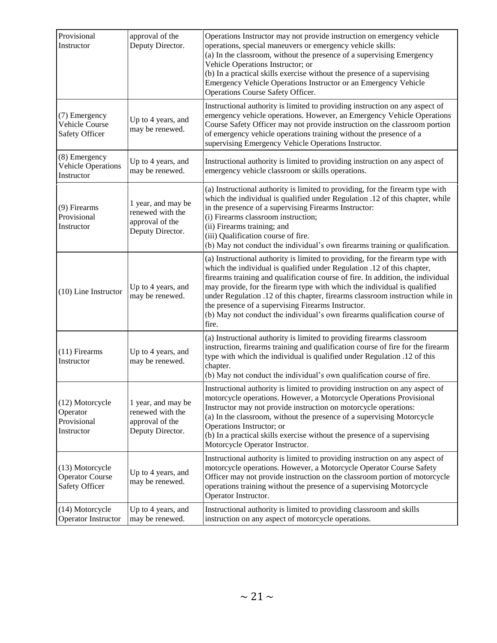| Provisional<br>Instructor                                       | approval of the<br>Deputy Director.                                           | Operations Instructor may not provide instruction on emergency vehicle<br>operations, special maneuvers or emergency vehicle skills:<br>(a) In the classroom, without the presence of a supervising Emergency<br>Vehicle Operations Instructor; or<br>(b) In a practical skills exercise without the presence of a supervising<br>Emergency Vehicle Operations Instructor or an Emergency Vehicle<br>Operations Course Safety Officer.                                                                                                                |
|-----------------------------------------------------------------|-------------------------------------------------------------------------------|-------------------------------------------------------------------------------------------------------------------------------------------------------------------------------------------------------------------------------------------------------------------------------------------------------------------------------------------------------------------------------------------------------------------------------------------------------------------------------------------------------------------------------------------------------|
| (7) Emergency<br><b>Vehicle Course</b><br><b>Safety Officer</b> | Up to 4 years, and<br>may be renewed.                                         | Instructional authority is limited to providing instruction on any aspect of<br>emergency vehicle operations. However, an Emergency Vehicle Operations<br>Course Safety Officer may not provide instruction on the classroom portion<br>of emergency vehicle operations training without the presence of a<br>supervising Emergency Vehicle Operations Instructor.                                                                                                                                                                                    |
| (8) Emergency<br><b>Vehicle Operations</b><br>Instructor        | Up to 4 years, and<br>may be renewed.                                         | Instructional authority is limited to providing instruction on any aspect of<br>emergency vehicle classroom or skills operations.                                                                                                                                                                                                                                                                                                                                                                                                                     |
| (9) Firearms<br>Provisional<br>Instructor                       | 1 year, and may be<br>renewed with the<br>approval of the<br>Deputy Director. | (a) Instructional authority is limited to providing, for the firearm type with<br>which the individual is qualified under Regulation .12 of this chapter, while<br>in the presence of a supervising Firearms Instructor:<br>(i) Firearms classroom instruction;<br>(ii) Firearms training; and<br>(iii) Qualification course of fire.<br>(b) May not conduct the individual's own firearms training or qualification.                                                                                                                                 |
| (10) Line Instructor                                            | Up to 4 years, and<br>may be renewed.                                         | (a) Instructional authority is limited to providing, for the firearm type with<br>which the individual is qualified under Regulation .12 of this chapter,<br>firearms training and qualification course of fire. In addition, the individual<br>may provide, for the firearm type with which the individual is qualified<br>under Regulation .12 of this chapter, firearms classroom instruction while in<br>the presence of a supervising Firearms Instructor.<br>(b) May not conduct the individual's own firearms qualification course of<br>fire. |
| $(11)$ Firearms<br>Instructor                                   | Up to 4 years, and<br>may be renewed.                                         | (a) Instructional authority is limited to providing firearms classroom<br>instruction, firearms training and qualification course of fire for the firearm<br>type with which the individual is qualified under Regulation .12 of this<br>chapter.<br>(b) May not conduct the individual's own qualification course of fire.                                                                                                                                                                                                                           |
| (12) Motorcycle<br>Operator<br>Provisional<br>Instructor        | 1 year, and may be<br>renewed with the<br>approval of the<br>Deputy Director. | Instructional authority is limited to providing instruction on any aspect of<br>motorcycle operations. However, a Motorcycle Operations Provisional<br>Instructor may not provide instruction on motorcycle operations:<br>(a) In the classroom, without the presence of a supervising Motorcycle<br>Operations Instructor; or<br>(b) In a practical skills exercise without the presence of a supervising<br>Motorcycle Operator Instructor.                                                                                                         |
| (13) Motorcycle<br><b>Operator Course</b><br>Safety Officer     | Up to 4 years, and<br>may be renewed.                                         | Instructional authority is limited to providing instruction on any aspect of<br>motorcycle operations. However, a Motorcycle Operator Course Safety<br>Officer may not provide instruction on the classroom portion of motorcycle<br>operations training without the presence of a supervising Motorcycle<br>Operator Instructor.                                                                                                                                                                                                                     |
| (14) Motorcycle<br>Operator Instructor                          | Up to 4 years, and<br>may be renewed.                                         | Instructional authority is limited to providing classroom and skills<br>instruction on any aspect of motorcycle operations.                                                                                                                                                                                                                                                                                                                                                                                                                           |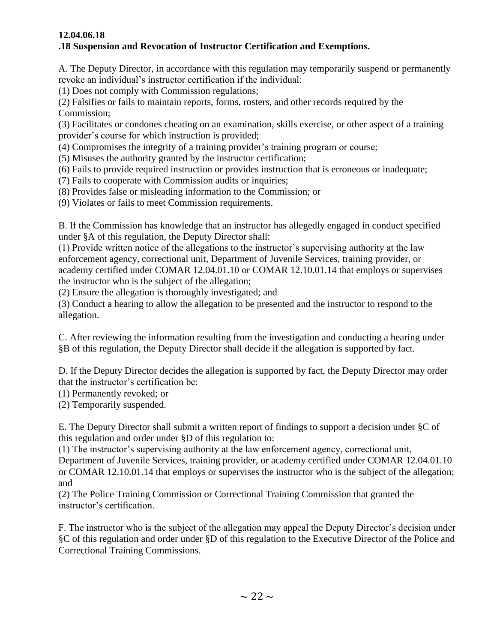### **12.04.06.18 .18 Suspension and Revocation of Instructor Certification and Exemptions.**

A. The Deputy Director, in accordance with this regulation may temporarily suspend or permanently revoke an individual's instructor certification if the individual:

(1) Does not comply with Commission regulations;

(2) Falsifies or fails to maintain reports, forms, rosters, and other records required by the Commission;

(3) Facilitates or condones cheating on an examination, skills exercise, or other aspect of a training provider's course for which instruction is provided;

(4) Compromises the integrity of a training provider's training program or course;

(5) Misuses the authority granted by the instructor certification;

(6) Fails to provide required instruction or provides instruction that is erroneous or inadequate;

(7) Fails to cooperate with Commission audits or inquiries;

(8) Provides false or misleading information to the Commission; or

(9) Violates or fails to meet Commission requirements.

B. If the Commission has knowledge that an instructor has allegedly engaged in conduct specified under §A of this regulation, the Deputy Director shall:

(1) Provide written notice of the allegations to the instructor's supervising authority at the law enforcement agency, correctional unit, Department of Juvenile Services, training provider, or academy certified under COMAR 12.04.01.10 or COMAR 12.10.01.14 that employs or supervises the instructor who is the subject of the allegation;

(2) Ensure the allegation is thoroughly investigated; and

(3) Conduct a hearing to allow the allegation to be presented and the instructor to respond to the allegation.

C. After reviewing the information resulting from the investigation and conducting a hearing under §B of this regulation, the Deputy Director shall decide if the allegation is supported by fact.

D. If the Deputy Director decides the allegation is supported by fact, the Deputy Director may order that the instructor's certification be:

(1) Permanently revoked; or

(2) Temporarily suspended.

E. The Deputy Director shall submit a written report of findings to support a decision under §C of this regulation and order under §D of this regulation to:

(1) The instructor's supervising authority at the law enforcement agency, correctional unit,

Department of Juvenile Services, training provider, or academy certified under COMAR 12.04.01.10 or COMAR 12.10.01.14 that employs or supervises the instructor who is the subject of the allegation; and

(2) The Police Training Commission or Correctional Training Commission that granted the instructor's certification.

F. The instructor who is the subject of the allegation may appeal the Deputy Director's decision under §C of this regulation and order under §D of this regulation to the Executive Director of the Police and Correctional Training Commissions.